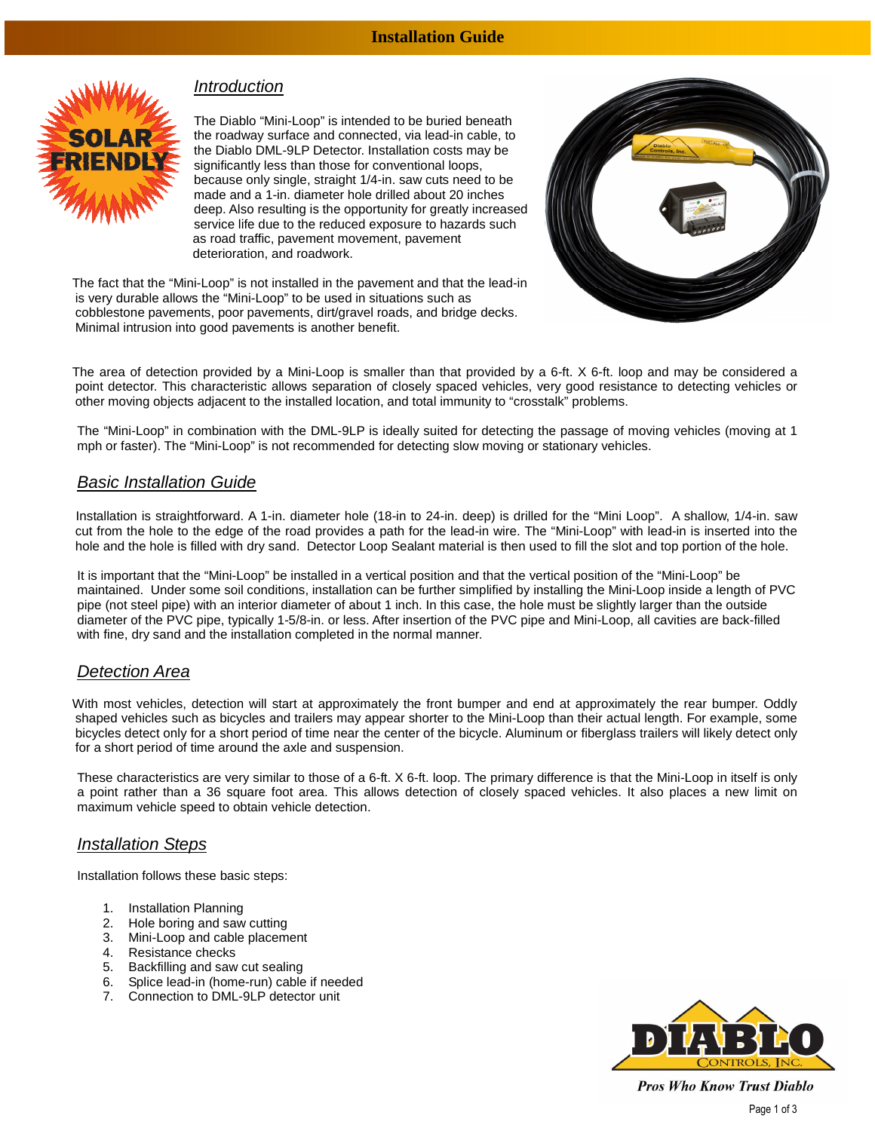## **Installation Guide**



# **Introduction**

The Diablo "Mini-Loop" is intended to be buried beneath the roadway surface and connected, via lead-in cable, to the Diablo DML-9LP Detector. Installation costs may be significantly less than those for conventional loops, because only single, straight 1/4-in. saw cuts need to be made and a 1-in. diameter hole drilled about 20 inches deep. Also resulting is the opportunity for greatly increased service life due to the reduced exposure to hazards such as road traffic, pavement movement, pavement deterioration, and roadwork.



The fact that the "Mini-Loop" is not installed in the pavement and that the lead-in is very durable allows the "Mini-Loop" to be used in situations such as cobblestone pavements, poor pavements, dirt/gravel roads, and bridge decks. Minimal intrusion into good pavements is another benefit.

The area of detection provided by a Mini-Loop is smaller than that provided by a 6-ft. X 6-ft. loop and may be considered a point detector. This characteristic allows separation of closely spaced vehicles, very good resistance to detecting vehicles or other moving objects adjacent to the installed location, and total immunity to "crosstalk" problems.

The "Mini-Loop" in combination with the DML-9LP is ideally suited for detecting the passage of moving vehicles (moving at 1 mph or faster). The "Mini-Loop" is not recommended for detecting slow moving or stationary vehicles.

### Basic Installation Guide

 Installation is straightforward. A 1-in. diameter hole (18-in to 24-in. deep) is drilled for the "Mini Loop". A shallow, 1/4-in. saw cut from the hole to the edge of the road provides a path for the lead-in wire. The "Mini-Loop" with lead-in is inserted into the hole and the hole is filled with dry sand. Detector Loop Sealant material is then used to fill the slot and top portion of the hole.

It is important that the "Mini-Loop" be installed in a vertical position and that the vertical position of the "Mini-Loop" be maintained. Under some soil conditions, installation can be further simplified by installing the Mini-Loop inside a length of PVC pipe (not steel pipe) with an interior diameter of about 1 inch. In this case, the hole must be slightly larger than the outside diameter of the PVC pipe, typically 1-5/8-in. or less. After insertion of the PVC pipe and Mini-Loop, all cavities are back-filled with fine, dry sand and the installation completed in the normal manner.

# Detection Area

With most vehicles, detection will start at approximately the front bumper and end at approximately the rear bumper. Oddly shaped vehicles such as bicycles and trailers may appear shorter to the Mini-Loop than their actual length. For example, some bicycles detect only for a short period of time near the center of the bicycle. Aluminum or fiberglass trailers will likely detect only for a short period of time around the axle and suspension.

These characteristics are very similar to those of a 6-ft. X 6-ft. loop. The primary difference is that the Mini-Loop in itself is only a point rather than a 36 square foot area. This allows detection of closely spaced vehicles. It also places a new limit on maximum vehicle speed to obtain vehicle detection.

### Installation Steps

Installation follows these basic steps:

- 1. Installation Planning
- 2. Hole boring and saw cutting
- 3. Mini-Loop and cable placement
- 4. Resistance checks
- 5. Backfilling and saw cut sealing
- 6. Splice lead-in (home-run) cable if needed
- 7. Connection to DML-9LP detector unit



**Pros Who Know Trust Diablo** Page 1 of 3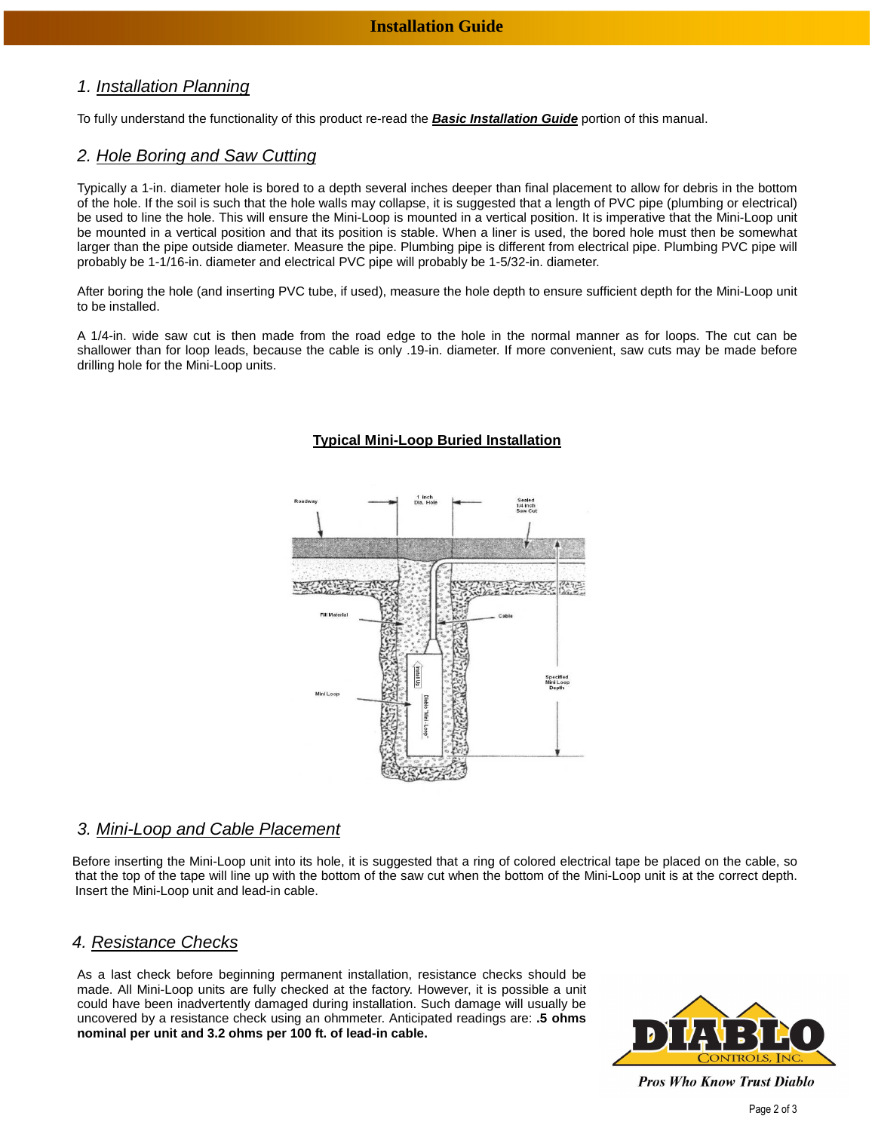# 1. Installation Planning

To fully understand the functionality of this product re-read the **Basic Installation Guide** portion of this manual.

## 2. Hole Boring and Saw Cutting

Typically a 1-in. diameter hole is bored to a depth several inches deeper than final placement to allow for debris in the bottom of the hole. If the soil is such that the hole walls may collapse, it is suggested that a length of PVC pipe (plumbing or electrical) be used to line the hole. This will ensure the Mini-Loop is mounted in a vertical position. It is imperative that the Mini-Loop unit be mounted in a vertical position and that its position is stable. When a liner is used, the bored hole must then be somewhat larger than the pipe outside diameter. Measure the pipe. Plumbing pipe is different from electrical pipe. Plumbing PVC pipe will probably be 1-1/16-in. diameter and electrical PVC pipe will probably be 1-5/32-in. diameter.

After boring the hole (and inserting PVC tube, if used), measure the hole depth to ensure sufficient depth for the Mini-Loop unit to be installed.

A 1/4-in. wide saw cut is then made from the road edge to the hole in the normal manner as for loops. The cut can be shallower than for loop leads, because the cable is only .19-in. diameter. If more convenient, saw cuts may be made before drilling hole for the Mini-Loop units.

### **Typical Mini-Loop Buried Installation**



# 3. Mini-Loop and Cable Placement

Before inserting the Mini-Loop unit into its hole, it is suggested that a ring of colored electrical tape be placed on the cable, so that the top of the tape will line up with the bottom of the saw cut when the bottom of the Mini-Loop unit is at the correct depth. Insert the Mini-Loop unit and lead-in cable.

### 4. Resistance Checks

As a last check before beginning permanent installation, resistance checks should be made. All Mini-Loop units are fully checked at the factory. However, it is possible a unit could have been inadvertently damaged during installation. Such damage will usually be uncovered by a resistance check using an ohmmeter. Anticipated readings are: **.5 ohms nominal per unit and 3.2 ohms per 100 ft. of lead-in cable.**



**Pros Who Know Trust Diablo**